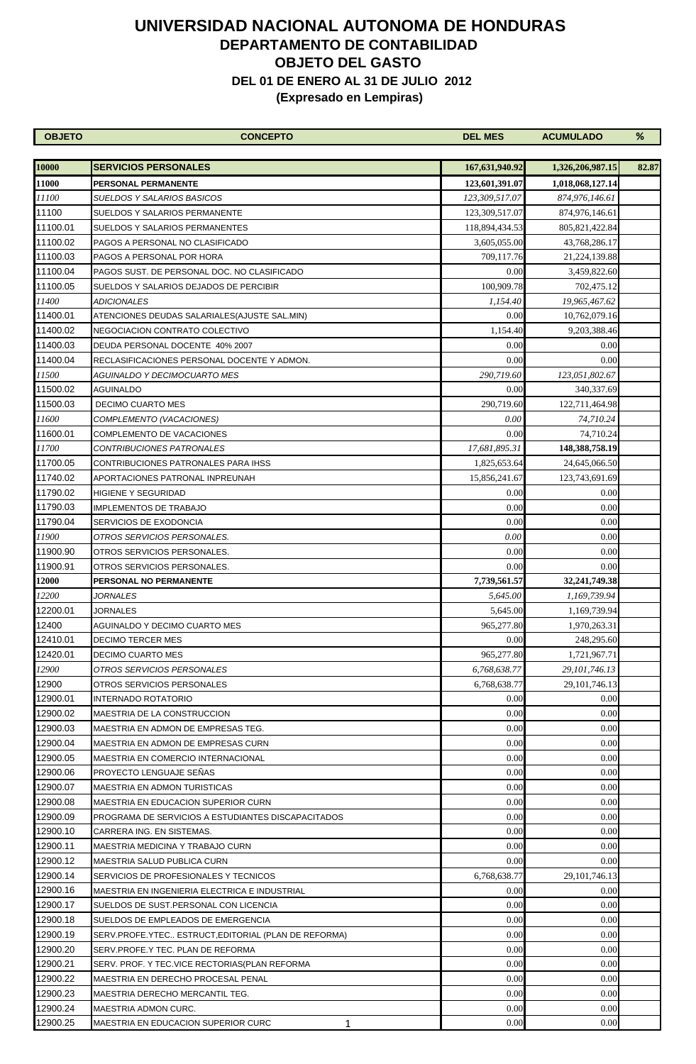| <b>OBJETO</b> | <b>CONCEPTO</b>                                      | <b>DEL MES</b> | <b>ACUMULADO</b>                     | %     |
|---------------|------------------------------------------------------|----------------|--------------------------------------|-------|
| 10000         | <b>SERVICIOS PERSONALES</b>                          | 167,631,940.92 |                                      | 82.87 |
| 11000         | <b>PERSONAL PERMANENTE</b>                           | 123,601,391.07 | 1,326,206,987.15<br>1,018,068,127.14 |       |
| 11100         | <b>SUELDOS Y SALARIOS BASICOS</b>                    | 123,309,517.07 | 874,976,146.61                       |       |
| 11100         | SUELDOS Y SALARIOS PERMANENTE                        | 123,309,517.07 | 874,976,146.61                       |       |
| 11100.01      | SUELDOS Y SALARIOS PERMANENTES                       | 118,894,434.53 | 805, 821, 422.84                     |       |
| 11100.02      | PAGOS A PERSONAL NO CLASIFICADO                      | 3,605,055.00   | 43,768,286.17                        |       |
| 11100.03      | PAGOS A PERSONAL POR HORA                            | 709,117.76     | 21, 224, 139.88                      |       |
| 11100.04      | PAGOS SUST. DE PERSONAL DOC. NO CLASIFICADO          | 0.00           | 3,459,822.60                         |       |
| 11100.05      | SUELDOS Y SALARIOS DEJADOS DE PERCIBIR               | 100,909.78     | 702,475.12                           |       |
| 11400         | ADICIONALES                                          | 1,154.40       | 19,965,467.62                        |       |
| 11400.01      | ATENCIONES DEUDAS SALARIALES(AJUSTE SAL.MIN)         | 0.00           | 10,762,079.16                        |       |
| 11400.02      | NEGOCIACION CONTRATO COLECTIVO                       | 1,154.40       | 9,203,388.46                         |       |
| 11400.03      | DEUDA PERSONAL DOCENTE 40% 2007                      | 0.00           | 0.00                                 |       |
| 11400.04      | RECLASIFICACIONES PERSONAL DOCENTE Y ADMON.          | 0.00           | 0.00                                 |       |
| 11500         | AGUINALDO Y DECIMOCUARTO MES                         | 290,719.60     | 123,051,802.67                       |       |
| 11500.02      | AGUINALDO                                            | 0.00           | 340,337.69                           |       |
| 11500.03      | <b>DECIMO CUARTO MES</b>                             | 290,719.60     | 122,711,464.98                       |       |
| 11600         | COMPLEMENTO (VACACIONES)                             | 0.00           | 74,710.24                            |       |
| 11600.01      | COMPLEMENTO DE VACACIONES                            | 0.00           | 74,710.24                            |       |
| 11700         | CONTRIBUCIONES PATRONALES                            | 17,681,895.31  | 148, 388, 758. 19                    |       |
| 11700.05      | CONTRIBUCIONES PATRONALES PARA IHSS                  | 1,825,653.64   | 24,645,066.50                        |       |
| 11740.02      | APORTACIONES PATRONAL INPREUNAH                      | 15,856,241.67  | 123,743,691.69                       |       |
| 11790.02      | HIGIENE Y SEGURIDAD                                  | 0.00           | 0.00                                 |       |
| 11790.03      | <b>IMPLEMENTOS DE TRABAJO</b>                        | 0.00           | 0.00                                 |       |
| 11790.04      | SERVICIOS DE EXODONCIA                               | 0.00           | 0.00                                 |       |
| 11900         | OTROS SERVICIOS PERSONALES.                          | 0.00           | 0.00                                 |       |
| 11900.90      | OTROS SERVICIOS PERSONALES.                          | 0.00           | 0.00                                 |       |
| 11900.91      | OTROS SERVICIOS PERSONALES.                          | 0.00           | 0.00                                 |       |
| 12000         | PERSONAL NO PERMANENTE                               | 7,739,561.57   | 32,241,749.38                        |       |
| 12200         | <i>JORNALES</i>                                      | 5,645.00       | 1,169,739.94                         |       |
| 12200.01      | <b>JORNALES</b>                                      | 5,645.00       | 1,169,739.94                         |       |
| 12400         | AGUINALDO Y DECIMO CUARTO MES                        | 965,277.80     | 1,970,263.31                         |       |
| 12410.01      | <b>DECIMO TERCER MES</b>                             | 0.00           | 248,295.60                           |       |
| 12420.01      | DECIMO CUARTO MES                                    | 965,277.80     | 1,721,967.71                         |       |
| 12900         | OTROS SERVICIOS PERSONALES                           | 6,768,638.77   | 29, 101, 746.13                      |       |
| 12900         | OTROS SERVICIOS PERSONALES                           | 6,768,638.77   | 29, 101, 746. 13                     |       |
| 12900.01      | <b>INTERNADO ROTATORIO</b>                           | 0.00           | 0.00                                 |       |
| 12900.02      | MAESTRIA DE LA CONSTRUCCION                          | 0.00           | 0.00                                 |       |
| 12900.03      | MAESTRIA EN ADMON DE EMPRESAS TEG.                   | 0.00           | 0.00                                 |       |
| 12900.04      | MAESTRIA EN ADMON DE EMPRESAS CURN                   | 0.00           | 0.00                                 |       |
| 12900.05      | MAESTRIA EN COMERCIO INTERNACIONAL                   | 0.00           | 0.00                                 |       |
| 12900.06      | PROYECTO LENGUAJE SEÑAS                              | 0.00           | 0.00                                 |       |
| 12900.07      | MAESTRIA EN ADMON TURISTICAS                         | 0.00           | 0.00                                 |       |
| 12900.08      | MAESTRIA EN EDUCACION SUPERIOR CURN                  | 0.00           | 0.00                                 |       |
| 12900.09      | PROGRAMA DE SERVICIOS A ESTUDIANTES DISCAPACITADOS   | 0.00           | 0.00                                 |       |
| 12900.10      | CARRERA ING. EN SISTEMAS.                            | 0.00           | 0.00                                 |       |
| 12900.11      | MAESTRIA MEDICINA Y TRABAJO CURN                     | 0.00           | 0.00                                 |       |
| 12900.12      | MAESTRIA SALUD PUBLICA CURN                          | 0.00           | 0.00                                 |       |
| 12900.14      | SERVICIOS DE PROFESIONALES Y TECNICOS                | 6,768,638.77   | 29, 101, 746. 13                     |       |
| 12900.16      | MAESTRIA EN INGENIERIA ELECTRICA E INDUSTRIAL        | 0.00           | 0.00                                 |       |
| 12900.17      | SUELDOS DE SUST.PERSONAL CON LICENCIA                | 0.00           | 0.00                                 |       |
| 12900.18      | SUELDOS DE EMPLEADOS DE EMERGENCIA                   | 0.00           | 0.00                                 |       |
| 12900.19      | SERV.PROFE.YTEC ESTRUCT, EDITORIAL (PLAN DE REFORMA) | 0.00           | 0.00                                 |       |
| 12900.20      | SERV.PROFE.Y TEC. PLAN DE REFORMA                    | 0.00           | 0.00                                 |       |
| 12900.21      | SERV. PROF. Y TEC.VICE RECTORIAS(PLAN REFORMA        | 0.00           | 0.00                                 |       |
| 12900.22      | MAESTRIA EN DERECHO PROCESAL PENAL                   | 0.00           | 0.00                                 |       |
| 12900.23      | MAESTRIA DERECHO MERCANTIL TEG.                      | 0.00           | 0.00                                 |       |
| 12900.24      | MAESTRIA ADMON CURC.                                 | 0.00           | 0.00                                 |       |
| 12900.25      | MAESTRIA EN EDUCACION SUPERIOR CURC<br>1             | 0.00           | 0.00                                 |       |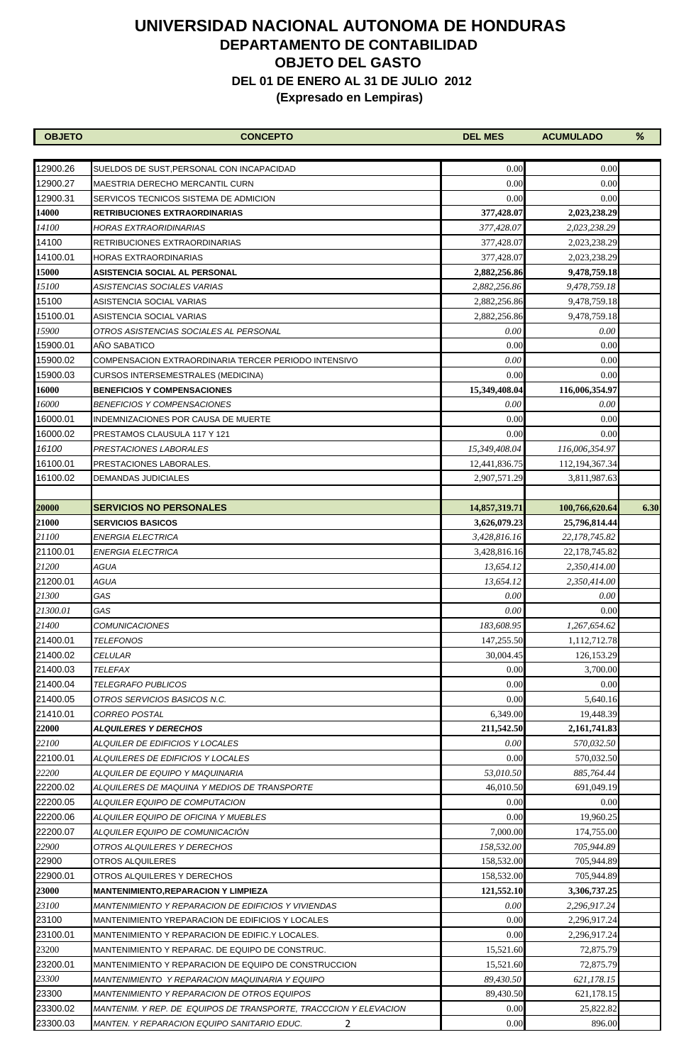| <b>OBJETO</b> | <b>CONCEPTO</b>                                                   | <b>DEL MES</b> | <b>ACUMULADO</b>  | %    |
|---------------|-------------------------------------------------------------------|----------------|-------------------|------|
|               |                                                                   |                |                   |      |
| 12900.26      | SUELDOS DE SUST,PERSONAL CON INCAPACIDAD                          | 0.00           | 0.00              |      |
| 12900.27      | MAESTRIA DERECHO MERCANTIL CURN                                   | 0.00           | 0.00              |      |
| 12900.31      | SERVICOS TECNICOS SISTEMA DE ADMICION                             | 0.00           | 0.00              |      |
| 14000         | RETRIBUCIONES EXTRAORDINARIAS                                     | 377,428.07     | 2,023,238.29      |      |
| 14100         | HORAS EXTRAORIDINARIAS                                            | 377,428.07     | 2,023,238.29      |      |
| 14100         | RETRIBUCIONES EXTRAORDINARIAS                                     | 377,428.07     | 2,023,238.29      |      |
| 14100.01      | HORAS EXTRAORDINARIAS                                             | 377,428.07     | 2,023,238.29      |      |
| 15000         | <b>ASISTENCIA SOCIAL AL PERSONAL</b>                              | 2,882,256.86   | 9,478,759.18      |      |
| 15100         | ASISTENCIAS SOCIALES VARIAS                                       | 2,882,256.86   | 9,478,759.18      |      |
| 15100         | ASISTENCIA SOCIAL VARIAS                                          | 2,882,256.86   | 9,478,759.18      |      |
| 15100.01      | ASISTENCIA SOCIAL VARIAS                                          | 2,882,256.86   | 9,478,759.18      |      |
| 15900         | OTROS ASISTENCIAS SOCIALES AL PERSONAL                            | 0.00           | 0.00              |      |
| 15900.01      | AÑO SABATICO                                                      | 0.00           | 0.00              |      |
| 15900.02      | COMPENSACION EXTRAORDINARIA TERCER PERIODO INTENSIVO              | 0.00           | 0.00              |      |
| 15900.03      | CURSOS INTERSEMESTRALES (MEDICINA)                                | 0.00           | 0.00              |      |
| 16000         | <b>BENEFICIOS Y COMPENSACIONES</b>                                | 15,349,408.04  | 116,006,354.97    |      |
| 16000         | <i>BENEFICIOS Y COMPENSACIONES</i>                                | 0.00           | 0.00              |      |
| 16000.01      | INDEMNIZACIONES POR CAUSA DE MUERTE                               | 0.00           | 0.00              |      |
| 16000.02      | PRESTAMOS CLAUSULA 117 Y 121                                      | 0.00           | 0.00              |      |
| 16100         | PRESTACIONES LABORALES                                            | 15,349,408.04  | 116,006,354.97    |      |
| 16100.01      | PRESTACIONES LABORALES.                                           | 12,441,836.75  | 112, 194, 367. 34 |      |
| 16100.02      | DEMANDAS JUDICIALES                                               | 2,907,571.29   | 3,811,987.63      |      |
|               |                                                                   |                |                   |      |
| 20000         | <b>SERVICIOS NO PERSONALES</b>                                    | 14,857,319.71  | 100,766,620.64    | 6.30 |
| 21000         | <b>SERVICIOS BASICOS</b>                                          | 3,626,079.23   | 25,796,814.44     |      |
| 21100         | ENERGIA ELECTRICA                                                 | 3,428,816.16   | 22, 178, 745.82   |      |
| 21100.01      | ENERGIA ELECTRICA                                                 | 3,428,816.16   | 22, 178, 745.82   |      |
| 21200         | AGUA                                                              | 13,654.12      | 2,350,414.00      |      |
| 21200.01      | AGUA                                                              | 13,654.12      | 2,350,414.00      |      |
| 21300         | GAS                                                               | 0.00           | 0.00              |      |
| 21300.01      | GAS                                                               | 0.00           | 0.00              |      |
| 21400         | <b>COMUNICACIONES</b>                                             | 183,608.95     | 1,267,654.62      |      |
| 21400.01      | <b>TELEFONOS</b>                                                  | 147,255.50     | 1,112,712.78      |      |
| 21400.02      | <i>CELULAR</i>                                                    | 30,004.45      | 126, 153. 29      |      |
| 21400.03      | TELEFAX                                                           | 0.00           | 3,700.00          |      |
| 21400.04      | TELEGRAFO PUBLICOS                                                | 0.00           | 0.00              |      |
| 21400.05      | OTROS SERVICIOS BASICOS N.C.                                      | 0.00           | 5,640.16          |      |
| 21410.01      | <b>CORREO POSTAL</b>                                              | 6,349.00       | 19,448.39         |      |
| 22000         | <b>ALQUILERES Y DERECHOS</b>                                      | 211,542.50     | 2, 161, 741.83    |      |
| 22100         | ALQUILER DE EDIFICIOS Y LOCALES                                   | 0.00           | 570,032.50        |      |
| 22100.01      | ALQUILERES DE EDIFICIOS Y LOCALES                                 | 0.00           | 570,032.50        |      |
| 22200         | ALQUILER DE EQUIPO Y MAQUINARIA                                   | 53,010.50      | 885,764.44        |      |
| 22200.02      | ALQUILERES DE MAQUINA Y MEDIOS DE TRANSPORTE                      | 46,010.50      | 691,049.19        |      |
| 22200.05      | ALQUILER EQUIPO DE COMPUTACION                                    | 0.00           | 0.00              |      |
| 22200.06      | ALQUILER EQUIPO DE OFICINA Y MUEBLES                              | 0.00           | 19,960.25         |      |
| 22200.07      | ALQUILER EQUIPO DE COMUNICACIÓN                                   | 7,000.00       | 174,755.00        |      |
| 22900         | OTROS ALQUILERES Y DERECHOS                                       | 158,532.00     | 705,944.89        |      |
| 22900         | OTROS ALQUILERES                                                  | 158,532.00     | 705,944.89        |      |
| 22900.01      | OTROS ALQUILERES Y DERECHOS                                       | 158,532.00     | 705,944.89        |      |
| 23000         | MANTENIMIENTO,REPARACION Y LIMPIEZA                               | 121,552.10     | 3,306,737.25      |      |
| 23100         | <i>MANTENIMIENTO Y REPARACION DE EDIFICIOS Y VIVIENDAS</i>        | 0.00           | 2,296,917.24      |      |
| 23100         | MANTENIMIENTO YREPARACION DE EDIFICIOS Y LOCALES                  | 0.00           | 2,296,917.24      |      |
| 23100.01      | MANTENIMIENTO Y REPARACION DE EDIFIC.Y LOCALES.                   | 0.00           | 2,296,917.24      |      |
| 23200         | MANTENIMIENTO Y REPARAC. DE EQUIPO DE CONSTRUC.                   | 15,521.60      | 72,875.79         |      |
| 23200.01      | MANTENIMIENTO Y REPARACION DE EQUIPO DE CONSTRUCCION              | 15,521.60      | 72,875.79         |      |
| 23300         | MANTENIMIENTO  Y REPARACION MAQUINARIA Y EQUIPO                   | 89,430.50      | 621,178.15        |      |
| 23300         | <i>MANTENIMIENTO Y REPARACION DE OTROS EQUIPOS</i>                | 89,430.50      | 621,178.15        |      |
| 23300.02      | MANTENIM. Y REP. DE  EQUIPOS DE TRANSPORTE, TRACCCION Y ELEVACION | 0.00           | 25,822.82         |      |
| 23300.03      | MANTEN. Y REPARACION EQUIPO SANITARIO EDUC.<br>2                  | 0.00           | 896.00            |      |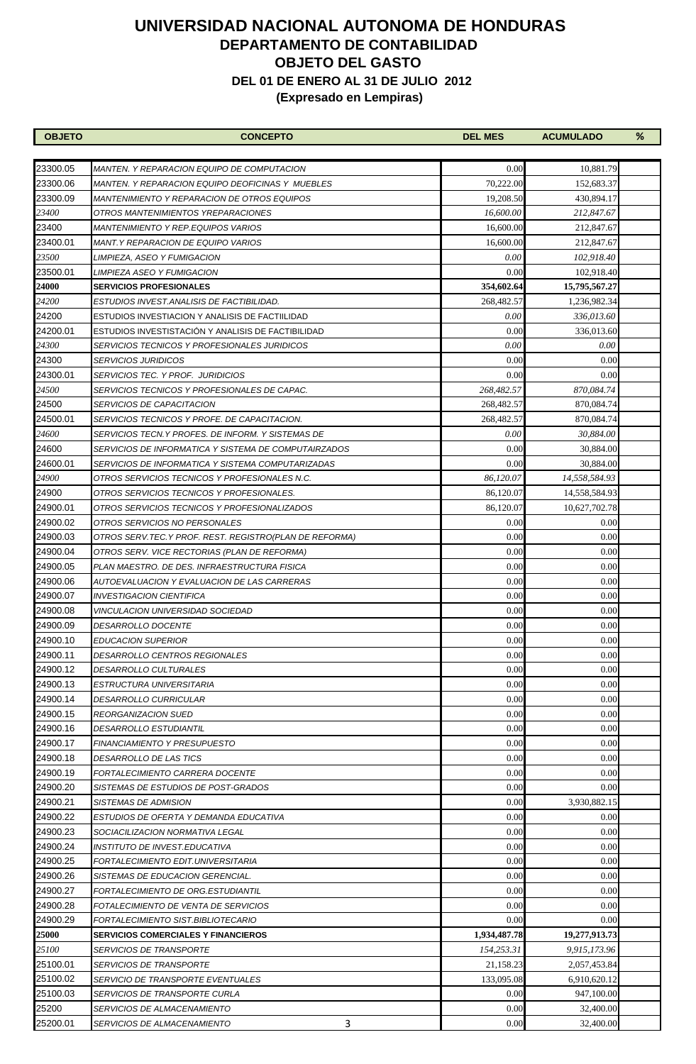| <b>OBJETO</b> | <b>CONCEPTO</b>                                         | <b>DEL MES</b> | <b>ACUMULADO</b> | % |
|---------------|---------------------------------------------------------|----------------|------------------|---|
|               |                                                         |                |                  |   |
| 23300.05      | <i>MANTEN. Y REPARACION EQUIPO DE COMPUTACION</i>       | 0.00           | 10,881.79        |   |
| 23300.06      | <b>MANTEN. Y REPARACION EQUIPO DEOFICINAS Y MUEBLES</b> | 70,222.00      | 152,683.37       |   |
| 23300.09      | <b>MANTENIMIENTO Y REPARACION DE OTROS EQUIPOS</b>      | 19,208.50      | 430,894.17       |   |
| 23400         | OTROS MANTENIMIENTOS YREPARACIONES                      | 16,600.00      | 212,847.67       |   |
| 23400         | MANTENIMIENTO Y REP.EQUIPOS VARIOS                      | 16,600.00      | 212,847.67       |   |
| 23400.01      | MANT.Y REPARACION DE EQUIPO VARIOS                      | 16,600.00      | 212,847.67       |   |
| 23500         | LIMPIEZA, ASEO Y FUMIGACION                             | 0.00           | 102,918.40       |   |
| 23500.01      | LIMPIEZA ASEO Y FUMIGACION                              | 0.00           | 102,918.40       |   |
| 24000         | <b>SERVICIOS PROFESIONALES</b>                          | 354,602.64     | 15,795,567.27    |   |
| 24200         | ESTUDIOS INVEST.ANALISIS DE FACTIBILIDAD.               | 268,482.57     | 1,236,982.34     |   |
| 24200         | ESTUDIOS INVESTIACION Y ANALISIS DE FACTIILIDAD         | 0.00           | 336,013.60       |   |
| 24200.01      | ESTUDIOS INVESTISTACIÓN Y ANALISIS DE FACTIBILIDAD      | 0.00           | 336,013.60       |   |
| 24300         | SERVICIOS TECNICOS Y PROFESIONALES JURIDICOS            | 0.00           | 0.00             |   |
| 24300         | <b>SERVICIOS JURIDICOS</b>                              | 0.00           | 0.00             |   |
| 24300.01      | <b>SERVICIOS TEC. Y PROF. JURIDICIOS</b>                | 0.00           | 0.00             |   |
| 24500         | SERVICIOS TECNICOS Y PROFESIONALES DE CAPAC.            | 268,482.57     | 870,084.74       |   |
| 24500         | SERVICIOS DE CAPACITACION                               | 268,482.57     | 870,084.74       |   |
| 24500.01      | SERVICIOS TECNICOS Y PROFE. DE CAPACITACION.            | 268,482.57     | 870,084.74       |   |
| 24600         | SERVICIOS TECN.Y PROFES. DE INFORM. Y SISTEMAS DE       | 0.00           | 30,884.00        |   |
| 24600         | SERVICIOS DE INFORMATICA Y SISTEMA DE COMPUTAIRZADOS    | 0.00           | 30,884.00        |   |
| 24600.01      | SERVICIOS DE INFORMATICA Y SISTEMA COMPUTARIZADAS       | 0.00           | 30,884.00        |   |
| 24900         | OTROS SERVICIOS TECNICOS Y PROFESIONALES N.C.           | 86,120.07      | 14,558,584.93    |   |
| 24900         | OTROS SERVICIOS TECNICOS Y PROFESIONALES.               | 86,120.07      | 14,558,584.93    |   |
| 24900.01      | OTROS SERVICIOS TECNICOS Y PROFESIONALIZADOS            | 86,120.07      | 10,627,702.78    |   |
| 24900.02      | OTROS SERVICIOS NO PERSONALES                           | 0.00           | 0.00             |   |
| 24900.03      | OTROS SERV.TEC.Y PROF. REST. REGISTRO(PLAN DE REFORMA)  | 0.00           | 0.00             |   |
| 24900.04      | OTROS SERV. VICE RECTORIAS (PLAN DE REFORMA)            | 0.00           | 0.00             |   |
| 24900.05      | PLAN MAESTRO. DE DES. INFRAESTRUCTURA FISICA            | 0.00           | 0.00             |   |
| 24900.06      | AUTOEVALUACION Y EVALUACION DE LAS CARRERAS             | 0.00           | 0.00             |   |
| 24900.07      | INVESTIGACION CIENTIFICA                                | 0.00           | 0.00             |   |
| 24900.08      | <i>VINCULACION UNIVERSIDAD SOCIEDAD</i>                 | 0.00           | 0.00             |   |
| 24900.09      | <i>DESARROLLO DOCENTE</i>                               | 0.00           | 0.00             |   |
| 24900.10      | <b>EDUCACION SUPERIOR</b>                               | 0.00           | 0.00             |   |
| 24900.11      | DESARROLLO CENTROS REGIONALES                           | 0.00           | 0.00             |   |
| 24900.12      | <b>DESARROLLO CULTURALES</b>                            | 0.00           | 0.00             |   |
| 24900.13      | ESTRUCTURA UNIVERSITARIA                                | 0.00           | 0.00             |   |
| 24900.14      | <i>DESARROLLO CURRICULAR</i>                            | 0.00           | 0.00             |   |
| 24900.15      | <i>REORGANIZACION SUED</i>                              | 0.00           | 0.00             |   |
| 24900.16      | <b>DESARROLLO ESTUDIANTIL</b>                           | 0.00           | 0.00             |   |
| 24900.17      | FINANCIAMIENTO Y PRESUPUESTO                            | 0.00           | 0.00             |   |
| 24900.18      | DESARROLLO DE LAS TICS                                  | 0.00           | 0.00             |   |
| 24900.19      | FORTALECIMIENTO CARRERA DOCENTE                         | 0.00           | 0.00             |   |
| 24900.20      | SISTEMAS DE ESTUDIOS DE POST-GRADOS                     | 0.00           | 0.00             |   |
| 24900.21      | SISTEMAS DE ADMISION                                    | 0.00           | 3,930,882.15     |   |
| 24900.22      | ESTUDIOS DE OFERTA Y DEMANDA EDUCATIVA                  | 0.00           | 0.00             |   |
| 24900.23      | SOCIACILIZACION NORMATIVA LEGAL                         | 0.00           | 0.00             |   |
| 24900.24      | INSTITUTO DE INVEST.EDUCATIVA                           | 0.00           | 0.00             |   |
| 24900.25      | FORTALECIMIENTO EDIT.UNIVERSITARIA                      | 0.00           | 0.00             |   |
| 24900.26      | SISTEMAS DE EDUCACION GERENCIAL.                        | 0.00           | 0.00             |   |
| 24900.27      | FORTALECIMIENTO DE ORG.ESTUDIANTIL                      | 0.00           | 0.00             |   |
| 24900.28      | FOTALECIMIENTO DE VENTA DE SERVICIOS                    | 0.00           | 0.00             |   |
| 24900.29      | FORTALECIMIENTO SIST.BIBLIOTECARIO                      | 0.00           | 0.00             |   |
| 25000         | <b>SERVICIOS COMERCIALES Y FINANCIEROS</b>              | 1,934,487.78   | 19,277,913.73    |   |
| 25100         | <i>SERVICIOS DE TRANSPORTE</i>                          | 154,253.31     | 9,915,173.96     |   |
| 25100.01      | <i>SERVICIOS DE TRANSPORTE</i>                          | 21,158.23      | 2,057,453.84     |   |
| 25100.02      | <i>SERVICIO DE TRANSPORTE EVENTUALES</i>                | 133,095.08     | 6,910,620.12     |   |
| 25100.03      | <i>SERVICIOS DE TRANSPORTE CURLA</i>                    | 0.00           | 947,100.00       |   |
| 25200         | SERVICIOS DE ALMACENAMIENTO                             | 0.00           | 32,400.00        |   |
| 25200.01      | 3<br><i>SERVICIOS DE ALMACENAMIENTO</i>                 | 0.00           | 32,400.00        |   |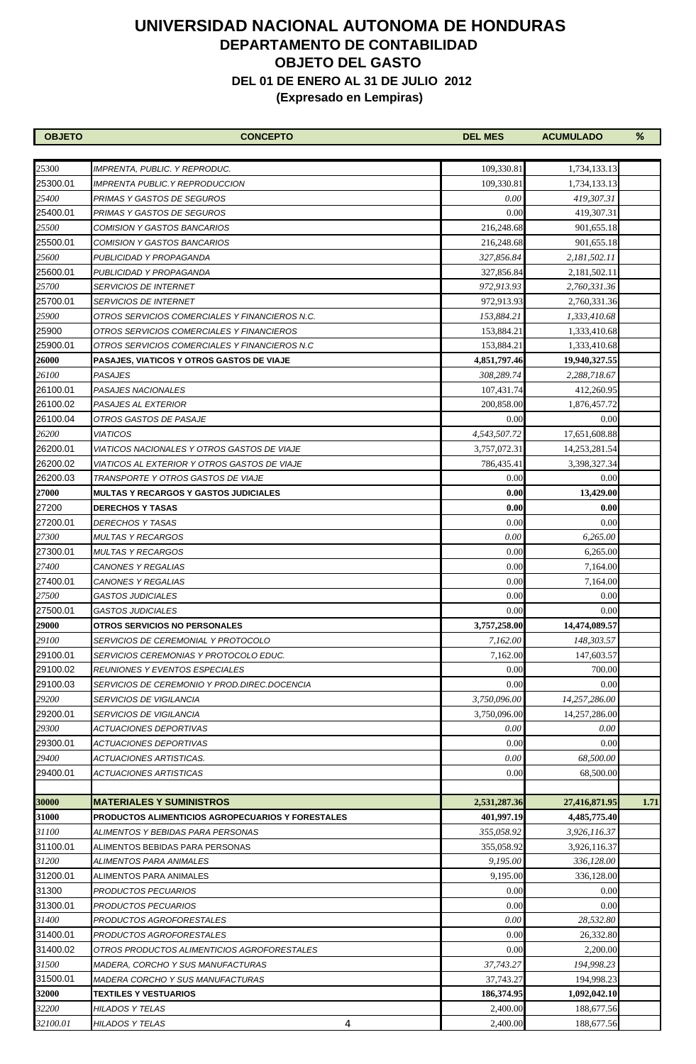| <b>OBJETO</b> | <b>CONCEPTO</b>                                   | <b>DEL MES</b> | <b>ACUMULADO</b> | %    |
|---------------|---------------------------------------------------|----------------|------------------|------|
|               |                                                   |                |                  |      |
| 25300         | IMPRENTA, PUBLIC. Y REPRODUC.                     | 109,330.81     | 1,734,133.13     |      |
| 25300.01      | <b>IMPRENTA PUBLIC. Y REPRODUCCION</b>            | 109,330.81     | 1,734,133.13     |      |
| 25400         | PRIMAS Y GASTOS DE SEGUROS                        | 0.00           | 419,307.31       |      |
| 25400.01      | PRIMAS Y GASTOS DE SEGUROS                        | 0.00           | 419,307.31       |      |
| 25500         | COMISION Y GASTOS BANCARIOS                       | 216,248.68     | 901,655.18       |      |
| 25500.01      | COMISION Y GASTOS BANCARIOS                       | 216,248.68     | 901,655.18       |      |
| 25600         | PUBLICIDAD Y PROPAGANDA                           | 327,856.84     | 2,181,502.11     |      |
| 25600.01      | PUBLICIDAD Y PROPAGANDA                           | 327,856.84     | 2,181,502.11     |      |
| 25700         | <i>SERVICIOS DE INTERNET</i>                      | 972,913.93     | 2,760,331.36     |      |
| 25700.01      | <i>SERVICIOS DE INTERNET</i>                      | 972,913.93     | 2,760,331.36     |      |
| 25900         | OTROS SERVICIOS COMERCIALES Y FINANCIEROS N.C.    | 153,884.21     | 1,333,410.68     |      |
| 25900         | OTROS SERVICIOS COMERCIALES Y FINANCIEROS         | 153,884.21     | 1,333,410.68     |      |
| 25900.01      | OTROS SERVICIOS COMERCIALES Y FINANCIEROS N.C     | 153,884.21     | 1,333,410.68     |      |
| <b>26000</b>  | PASAJES, VIATICOS Y OTROS GASTOS DE VIAJE         | 4,851,797.46   | 19,940,327.55    |      |
| 26100         | <b>PASAJES</b>                                    | 308,289.74     | 2,288,718.67     |      |
| 26100.01      | <b>PASAJES NACIONALES</b>                         | 107,431.74     | 412,260.95       |      |
| 26100.02      | PASAJES AL EXTERIOR                               | 200,858.00     | 1,876,457.72     |      |
| 26100.04      | OTROS GASTOS DE PASAJE                            | 0.00           | 0.00             |      |
| 26200         | <i><b>VIATICOS</b></i>                            | 4,543,507.72   | 17,651,608.88    |      |
| 26200.01      | VIATICOS NACIONALES Y OTROS GASTOS DE VIAJE       | 3,757,072.31   | 14,253,281.54    |      |
| 26200.02      | VIATICOS AL EXTERIOR Y OTROS GASTOS DE VIAJE      | 786,435.41     | 3,398,327.34     |      |
| 26200.03      | TRANSPORTE Y OTROS GASTOS DE VIAJE                | 0.00           | 0.00             |      |
| <b>27000</b>  | MULTAS Y RECARGOS Y GASTOS JUDICIALES             | 0.00           | 13,429.00        |      |
| 27200         | <b>DERECHOS Y TASAS</b>                           | 0.00           | 0.00             |      |
| 27200.01      | DERECHOS Y TASAS                                  | 0.00           | 0.00             |      |
| 27300         | MULTAS Y RECARGOS                                 | 0.00           | 6,265.00         |      |
| 27300.01      | <b>MULTAS Y RECARGOS</b>                          | 0.00           | 6,265.00         |      |
| 27400         | <i>CANONES Y REGALIAS</i>                         | 0.00           | 7,164.00         |      |
| 27400.01      | CANONES Y REGALIAS                                | 0.00           | 7,164.00         |      |
| 27500         | <b>GASTOS JUDICIALES</b>                          | 0.00           | 0.00             |      |
| 27500.01      | <i><b>GASTOS JUDICIALES</b></i>                   | 0.00           | 0.00             |      |
| <b>29000</b>  | <b>OTROS SERVICIOS NO PERSONALES</b>              | 3,757,258.00   | 14,474,089.57    |      |
| 29100         | <i>SERVICIOS DE CEREMONIAL Y PROTOCOLO</i>        | 7,162.00       | 148,303.57       |      |
| 29100.01      | SERVICIOS CEREMONIAS Y PROTOCOLO EDUC.            | 7,162.00       | 147,603.57       |      |
| 29100.02      | <i>REUNIONES Y EVENTOS ESPECIALES</i>             | 0.00           | 700.00           |      |
| 29100.03      | SERVICIOS DE CEREMONIO Y PROD.DIREC.DOCENCIA      | 0.00           | 0.00             |      |
| 29200         | <i>SERVICIOS DE VIGILANCIA</i>                    | 3,750,096.00   | 14,257,286.00    |      |
| 29200.01      | <b>SERVICIOS DE VIGILANCIA</b>                    | 3,750,096.00   | 14,257,286.00    |      |
| 29300         | <i>ACTUACIONES DEPORTIVAS</i>                     | 0.00           | 0.00             |      |
| 29300.01      | <b>ACTUACIONES DEPORTIVAS</b>                     | 0.00           | 0.00             |      |
| 29400         | ACTUACIONES ARTISTICAS.                           | 0.00           | 68,500.00        |      |
| 29400.01      | ACTUACIONES ARTISTICAS                            | 0.00           | 68,500.00        |      |
|               |                                                   |                |                  |      |
| 30000         | <b>MATERIALES Y SUMINISTROS</b>                   | 2,531,287.36   | 27,416,871.95    | 1.71 |
| 31000         | PRODUCTOS ALIMENTICIOS AGROPECUARIOS Y FORESTALES | 401,997.19     | 4,485,775.40     |      |
| 31100         | ALIMENTOS Y BEBIDAS PARA PERSONAS                 | 355,058.92     | 3,926,116.37     |      |
| 31100.01      | ALIMENTOS BEBIDAS PARA PERSONAS                   | 355,058.92     | 3,926,116.37     |      |
| 31200         | ALIMENTOS PARA ANIMALES                           | 9,195.00       | 336,128.00       |      |
| 31200.01      | ALIMENTOS PARA ANIMALES                           | 9,195.00       | 336,128.00       |      |
| 31300         | PRODUCTOS PECUARIOS                               | 0.00           | 0.00             |      |
| 31300.01      | PRODUCTOS PECUARIOS                               | 0.00           | 0.00             |      |
| 31400         | PRODUCTOS AGROFORESTALES                          | 0.00           | 28,532.80        |      |
| 31400.01      | PRODUCTOS AGROFORESTALES                          | 0.00           | 26,332.80        |      |
| 31400.02      | OTROS PRODUCTOS ALIMENTICIOS AGROFORESTALES       | 0.00           | 2,200.00         |      |
| 31500         | MADERA, CORCHO Y SUS MANUFACTURAS                 | 37,743.27      | 194,998.23       |      |
| 31500.01      | MADERA CORCHO Y SUS MANUFACTURAS                  | 37,743.27      | 194,998.23       |      |
| 32000         | <b>TEXTILES Y VESTUARIOS</b>                      | 186,374.95     | 1,092,042.10     |      |
| 32200         | HILADOS Y TELAS                                   | 2,400.00       | 188,677.56       |      |
| 32100.01      | HILADOS Y TELAS<br>4                              | 2,400.00       | 188,677.56       |      |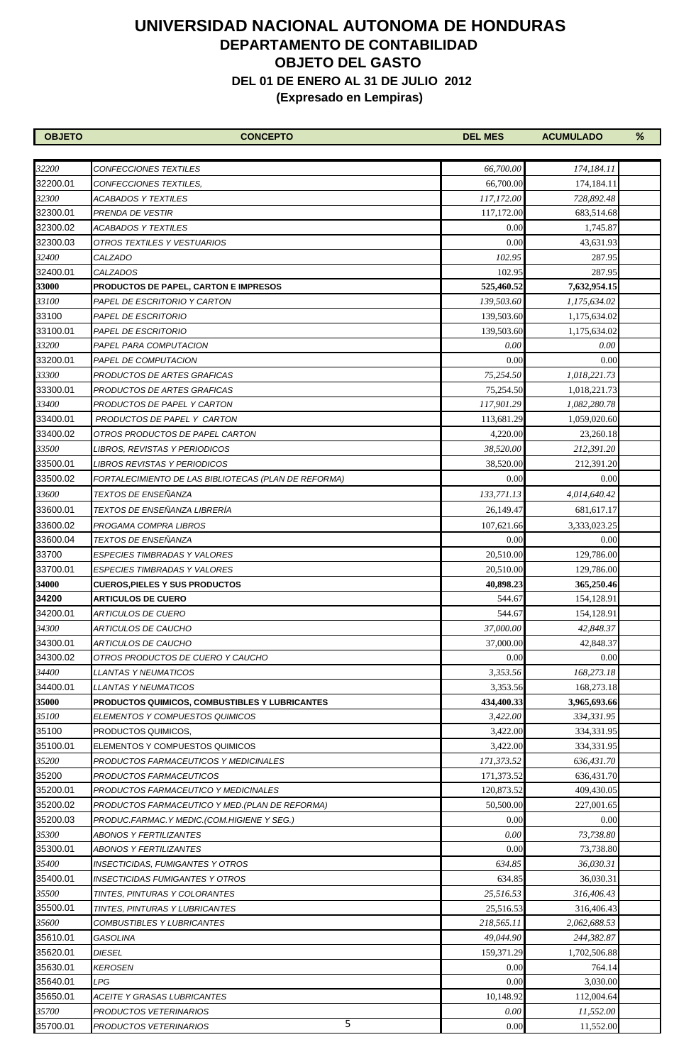| <b>OBJETO</b> | <b>CONCEPTO</b>                                              | <b>DEL MES</b>     | <b>ACUMULADO</b> | % |
|---------------|--------------------------------------------------------------|--------------------|------------------|---|
|               |                                                              |                    |                  |   |
| 32200         | CONFECCIONES TEXTILES                                        | 66,700.00          | 174,184.11       |   |
| 32200.01      | CONFECCIONES TEXTILES.                                       | 66,700.00          | 174,184.11       |   |
| 32300         | ACABADOS Y TEXTILES                                          | 117,172.00         | 728,892.48       |   |
| 32300.01      | PRENDA DE VESTIR                                             | 117,172.00         | 683,514.68       |   |
| 32300.02      | ACABADOS Y TEXTILES                                          | 0.00               | 1,745.87         |   |
| 32300.03      | OTROS TEXTILES Y VESTUARIOS                                  | 0.00               | 43,631.93        |   |
| 32400         | CALZADO                                                      | 102.95             | 287.95           |   |
| 32400.01      | <b>CALZADOS</b>                                              | 102.95             | 287.95           |   |
| 33000         | <b>PRODUCTOS DE PAPEL, CARTON E IMPRESOS</b>                 | 525,460.52         | 7,632,954.15     |   |
| 33100         | PAPEL DE ESCRITORIO Y CARTON                                 | 139,503.60         | 1,175,634.02     |   |
| 33100         | PAPEL DE ESCRITORIO                                          | 139,503.60         | 1,175,634.02     |   |
| 33100.01      | PAPEL DE ESCRITORIO                                          | 139,503.60         | 1,175,634.02     |   |
| 33200         | PAPEL PARA COMPUTACION                                       | 0.00               | 0.00             |   |
| 33200.01      | PAPEL DE COMPUTACION                                         | 0.00               | 0.00             |   |
| 33300         | PRODUCTOS DE ARTES GRAFICAS                                  | 75,254.50          | 1,018,221.73     |   |
| 33300.01      | PRODUCTOS DE ARTES GRAFICAS                                  | 75,254.50          | 1,018,221.73     |   |
| 33400         | PRODUCTOS DE PAPEL Y CARTON                                  | 117,901.29         | 1,082,280.78     |   |
| 33400.01      | PRODUCTOS DE PAPEL Y CARTON                                  | 113,681.29         | 1,059,020.60     |   |
| 33400.02      | OTROS PRODUCTOS DE PAPEL CARTON                              | 4,220.00           | 23,260.18        |   |
| 33500         | LIBROS, REVISTAS Y PERIODICOS                                | 38,520.00          | 212,391.20       |   |
| 33500.01      | <b>LIBROS REVISTAS Y PERIODICOS</b>                          | 38,520.00          | 212,391.20       |   |
| 33500.02      | FORTALECIMIENTO DE LAS BIBLIOTECAS (PLAN DE REFORMA)         | 0.00               | 0.00             |   |
| 33600         | TEXTOS DE ENSEÑANZA                                          | 133,771.13         | 4,014,640.42     |   |
| 33600.01      | TEXTOS DE ENSEÑANZA LIBRERÍA                                 | 26,149.47          | 681, 617. 17     |   |
| 33600.02      | PROGAMA COMPRA LIBROS                                        |                    | 3,333,023.25     |   |
| 33600.04      | TEXTOS DE ENSEÑANZA                                          | 107,621.66<br>0.00 | 0.00             |   |
| 33700         |                                                              | 20,510.00          | 129,786.00       |   |
| 33700.01      | ESPECIES TIMBRADAS Y VALORES<br>ESPECIES TIMBRADAS Y VALORES | 20,510.00          | 129,786.00       |   |
| 34000         | <b>CUEROS,PIELES Y SUS PRODUCTOS</b>                         | 40,898.23          | 365,250.46       |   |
| 34200         | <b>ARTICULOS DE CUERO</b>                                    | 544.67             | 154,128.91       |   |
| 34200.01      | ARTICULOS DE CUERO                                           | 544.67             | 154,128.91       |   |
| 34300         | ARTICULOS DE CAUCHO                                          | 37,000.00          | 42,848.37        |   |
| 34300.01      | ARTICULOS DE CAUCHO                                          | 37,000.00          | 42,848.37        |   |
| 34300.02      | OTROS PRODUCTOS DE CUERO Y CAUCHO                            | 0.00               | 0.00             |   |
| 34400         | LLANTAS Y NEUMATICOS                                         | 3,353.56           | 168,273.18       |   |
| 34400.01      | <i>LLANTAS Y NEUMATICOS</i>                                  | 3,353.56           | 168,273.18       |   |
| 35000         | PRODUCTOS QUIMICOS, COMBUSTIBLES Y LUBRICANTES               | 434,400.33         | 3,965,693.66     |   |
| 35100         | ELEMENTOS Y COMPUESTOS QUIMICOS                              | 3,422.00           | 334,331.95       |   |
| 35100         | PRODUCTOS QUIMICOS,                                          | 3,422.00           | 334,331.95       |   |
| 35100.01      | ELEMENTOS Y COMPUESTOS QUIMICOS                              | 3,422.00           | 334,331.95       |   |
| 35200         | PRODUCTOS FARMACEUTICOS Y MEDICINALES                        | 171,373.52         | 636,431.70       |   |
| 35200         | PRODUCTOS FARMACEUTICOS                                      | 171,373.52         | 636,431.70       |   |
| 35200.01      | PRODUCTOS FARMACEUTICO Y MEDICINALES                         | 120,873.52         | 409,430.05       |   |
| 35200.02      | PRODUCTOS FARMACEUTICO Y MED.(PLAN DE REFORMA)               | 50,500.00          | 227,001.65       |   |
| 35200.03      | PRODUC.FARMAC.Y MEDIC.(COM.HIGIENE Y SEG.)                   | 0.00               | 0.00             |   |
| 35300         | ABONOS Y FERTILIZANTES                                       | 0.00               | 73,738.80        |   |
| 35300.01      | ABONOS Y FERTILIZANTES                                       | 0.00               | 73,738.80        |   |
| 35400         | INSECTICIDAS, FUMIGANTES Y OTROS                             | 634.85             | 36,030.31        |   |
| 35400.01      | <b>INSECTICIDAS FUMIGANTES Y OTROS</b>                       | 634.85             | 36,030.31        |   |
| 35500         | TINTES, PINTURAS Y COLORANTES                                | 25,516.53          | 316,406.43       |   |
| 35500.01      | TINTES, PINTURAS Y LUBRICANTES                               | 25,516.53          | 316,406.43       |   |
| 35600         | <i>COMBUSTIBLES Y LUBRICANTES</i>                            | 218,565.11         | 2,062,688.53     |   |
| 35610.01      | GASOLINA                                                     | 49,044.90          | 244,382.87       |   |
| 35620.01      | DIESEL                                                       | 159,371.29         | 1,702,506.88     |   |
| 35630.01      | <b>KEROSEN</b>                                               | 0.00               | 764.14           |   |
| 35640.01      | LPG                                                          | 0.00               | 3,030.00         |   |
| 35650.01      | ACEITE Y GRASAS LUBRICANTES                                  | 10,148.92          | 112,004.64       |   |
| 35700         | PRODUCTOS VETERINARIOS                                       | 0.00               | 11,552.00        |   |
| 35700.01      | 5<br>PRODUCTOS VETERINARIOS                                  | 0.00               | 11,552.00        |   |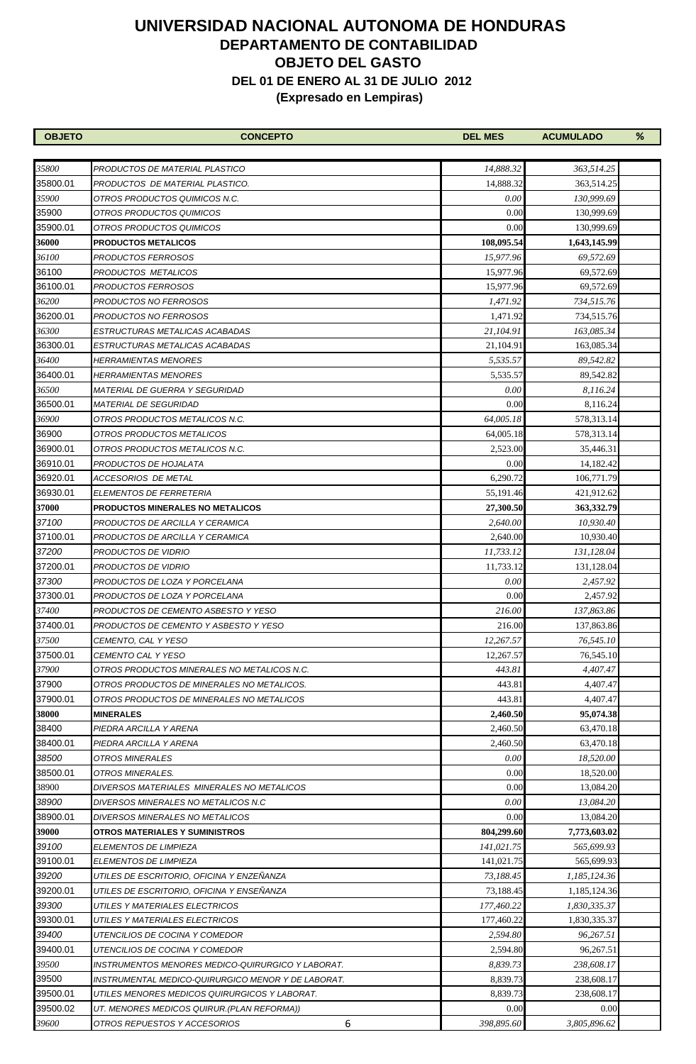| <b>OBJETO</b> | <b>CONCEPTO</b>                                    | <b>DEL MES</b> | <b>ACUMULADO</b> | % |
|---------------|----------------------------------------------------|----------------|------------------|---|
|               |                                                    |                |                  |   |
| 35800         | PRODUCTOS DE MATERIAL PLASTICO                     | 14,888.32      | 363,514.25       |   |
| 35800.01      | PRODUCTOS DE MATERIAL PLASTICO.                    | 14,888.32      | 363,514.25       |   |
| 35900         | OTROS PRODUCTOS QUIMICOS N.C.                      | 0.00           | 130,999.69       |   |
| 35900         | OTROS PRODUCTOS QUIMICOS                           | 0.00           | 130,999.69       |   |
| 35900.01      | OTROS PRODUCTOS QUIMICOS                           | 0.00           | 130,999.69       |   |
| 36000         | <b>PRODUCTOS METALICOS</b>                         | 108,095.54     | 1,643,145.99     |   |
| 36100         | PRODUCTOS FERROSOS                                 | 15,977.96      | 69,572.69        |   |
| 36100         | PRODUCTOS METALICOS                                | 15,977.96      | 69,572.69        |   |
| 36100.01      | PRODUCTOS FERROSOS                                 | 15,977.96      | 69,572.69        |   |
| 36200         | PRODUCTOS NO FERROSOS                              | 1,471.92       | 734,515.76       |   |
| 36200.01      | PRODUCTOS NO FERROSOS                              | 1,471.92       | 734,515.76       |   |
| 36300         | ESTRUCTURAS METALICAS ACABADAS                     | 21,104.91      | 163,085.34       |   |
| 36300.01      | ESTRUCTURAS METALICAS ACABADAS                     | 21,104.91      | 163,085.34       |   |
| 36400         | <b>HERRAMIENTAS MENORES</b>                        | 5,535.57       | 89,542.82        |   |
| 36400.01      | <i>HERRAMIENTAS MENORES</i>                        | 5,535.57       | 89,542.82        |   |
| 36500         | <i>MATERIAL DE GUERRA Y SEGURIDAD</i>              | 0.00           | 8.116.24         |   |
| 36500.01      | <i>MATERIAL DE SEGURIDAD</i>                       | 0.00           | 8,116.24         |   |
| 36900         | OTROS PRODUCTOS METALICOS N.C.                     | 64,005.18      | 578,313.14       |   |
| 36900         | OTROS PRODUCTOS METALICOS                          | 64,005.18      | 578,313.14       |   |
| 36900.01      | OTROS PRODUCTOS METALICOS N.C.                     | 2,523.00       | 35,446.31        |   |
| 36910.01      | PRODUCTOS DE HOJALATA                              | 0.00           | 14,182.42        |   |
| 36920.01      | ACCESORIOS DE METAL                                | 6,290.72       | 106,771.79       |   |
| 36930.01      | ELEMENTOS DE FERRETERIA                            | 55,191.46      | 421,912.62       |   |
| 37000         | PRODUCTOS MINERALES NO METALICOS                   | 27,300.50      | 363,332.79       |   |
| 37100         | PRODUCTOS DE ARCILLA Y CERAMICA                    | 2,640.00       | 10,930.40        |   |
| 37100.01      | PRODUCTOS DE ARCILLA Y CERAMICA                    | 2,640.00       | 10,930.40        |   |
| 37200         | PRODUCTOS DE VIDRIO                                | 11,733.12      | 131,128.04       |   |
| 37200.01      | PRODUCTOS DE VIDRIO                                | 11,733.12      | 131,128.04       |   |
| 37300         | PRODUCTOS DE LOZA Y PORCELANA                      | 0.00           | 2.457.92         |   |
| 37300.01      | PRODUCTOS DE LOZA Y PORCELANA                      | 0.00           | 2,457.92         |   |
| 37400         | PRODUCTOS DE CEMENTO ASBESTO Y YESO                | 216.00         | 137,863.86       |   |
| 37400.01      | PRODUCTOS DE CEMENTO Y ASBESTO Y YESO              | 216.00         | 137,863.86       |   |
| 37500         | CEMENTO, CAL Y YESO                                | 12,267.57      | 76,545.10        |   |
| 37500.01      | CEMENTO CAL Y YESO                                 | 12,267.57      | 76,545.10        |   |
| 37900         | OTROS PRODUCTOS MINERALES NO METALICOS N.C.        | 443.81         | 4,407.47         |   |
| 37900         | OTROS PRODUCTOS DE MINERALES NO METALICOS.         | 443.81         | 4,407.47         |   |
| 37900.01      | OTROS PRODUCTOS DE MINERALES NO METALICOS          | 443.81         | 4,407.47         |   |
| 38000         | <b>MINERALES</b>                                   | 2,460.50       | 95,074.38        |   |
| 38400         | PIEDRA ARCILLA Y ARENA                             | 2,460.50       | 63,470.18        |   |
| 38400.01      | PIEDRA ARCILLA Y ARENA                             | 2,460.50       | 63,470.18        |   |
| 38500         | OTROS MINERALES                                    | 0.00           | 18,520.00        |   |
| 38500.01      | OTROS MINERALES.                                   | 0.00           | 18,520.00        |   |
| 38900         | DIVERSOS MATERIALES MINERALES NO METALICOS         | 0.00           | 13,084.20        |   |
| 38900         | DIVERSOS MINERALES NO METALICOS N.C                | 0.00           | 13,084.20        |   |
| 38900.01      | DIVERSOS MINERALES NO METALICOS                    | 0.00           | 13,084.20        |   |
| 39000         | OTROS MATERIALES Y SUMINISTROS                     | 804,299.60     | 7,773,603.02     |   |
| 39100         | ELEMENTOS DE LIMPIEZA                              | 141,021.75     | 565,699.93       |   |
| 39100.01      | ELEMENTOS DE LIMPIEZA                              | 141,021.75     | 565,699.93       |   |
| 39200         | UTILES DE ESCRITORIO, OFICINA Y ENZEÑANZA          | 73,188.45      | 1,185,124.36     |   |
| 39200.01      | UTILES DE ESCRITORIO, OFICINA Y ENSEÑANZA          | 73,188.45      | 1,185,124.36     |   |
| 39300         | UTILES Y MATERIALES ELECTRICOS                     | 177,460.22     | 1,830,335.37     |   |
| 39300.01      | UTILES Y MATERIALES ELECTRICOS                     | 177,460.22     | 1,830,335.37     |   |
| 39400         | UTENCILIOS DE COCINA Y COMEDOR                     | 2,594.80       | 96,267.51        |   |
| 39400.01      | UTENCILIOS DE COCINA Y COMEDOR                     | 2,594.80       | 96,267.51        |   |
| 39500         | INSTRUMENTOS MENORES MEDICO-QUIRURGICO Y LABORAT.  | 8,839.73       | 238,608.17       |   |
| 39500         | INSTRUMENTAL MEDICO-QUIRURGICO MENOR Y DE LABORAT. | 8,839.73       | 238,608.17       |   |
| 39500.01      | UTILES MENORES MEDICOS QUIRURGICOS Y LABORAT.      | 8,839.73       | 238,608.17       |   |
| 39500.02      | UT. MENORES MEDICOS QUIRUR. (PLAN REFORMA))        | 0.00           | 0.00             |   |
| 39600         | 6<br>OTROS REPUESTOS Y ACCESORIOS                  | 398,895.60     | 3,805,896.62     |   |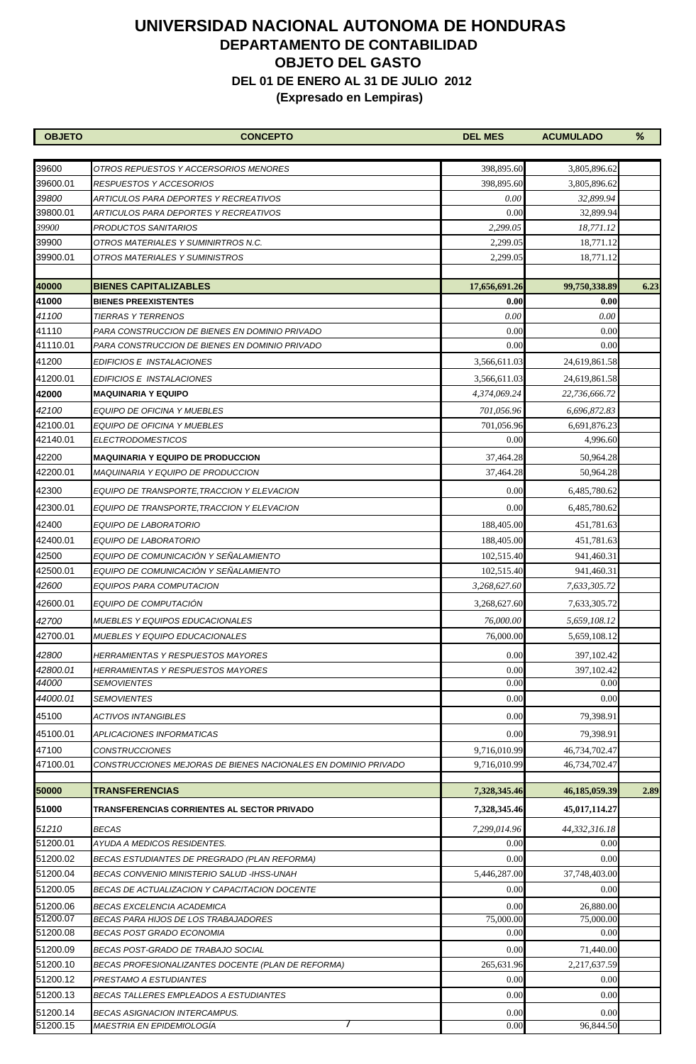| <b>OBJETO</b>        | <b>CONCEPTO</b>                                                                          | <b>DEL MES</b>     | <b>ACUMULADO</b>          | ℅    |
|----------------------|------------------------------------------------------------------------------------------|--------------------|---------------------------|------|
|                      |                                                                                          |                    |                           |      |
| 39600                | OTROS REPUESTOS Y ACCERSORIOS MENORES                                                    | 398,895.60         | 3,805,896.62              |      |
| 39600.01             | <i>RESPUESTOS Y ACCESORIOS</i>                                                           | 398,895.60         | 3,805,896.62              |      |
| 39800                | ARTICULOS PARA DEPORTES Y RECREATIVOS                                                    | 0.00               | 32,899.94                 |      |
| 39800.01             | ARTICULOS PARA DEPORTES Y RECREATIVOS                                                    | 0.00               | 32,899.94                 |      |
| 39900                | PRODUCTOS SANITARIOS                                                                     | 2,299.05           | 18,771.12                 |      |
| 39900                | OTROS MATERIALES Y SUMINIRTROS N.C.                                                      | 2,299.05           | 18,771.12                 |      |
| 39900.01             | OTROS MATERIALES Y SUMINISTROS                                                           | 2,299.05           | 18,771.12                 |      |
| 40000                | <b>BIENES CAPITALIZABLES</b>                                                             | 17,656,691.26      | 99,750,338.89             | 6.23 |
| 41000                | <b>BIENES PREEXISTENTES</b>                                                              | 0.00               | 0.00                      |      |
| 41100                | <b>TIERRAS Y TERRENOS</b>                                                                | 0.00               | 0.00                      |      |
| 41110                | PARA CONSTRUCCION DE BIENES EN DOMINIO PRIVADO                                           | 0.00               | 0.00                      |      |
| 41110.01             | PARA CONSTRUCCION DE BIENES EN DOMINIO PRIVADO                                           | 0.00               | 0.00                      |      |
| 41200                | EDIFICIOS E INSTALACIONES                                                                | 3,566,611.03       | 24,619,861.58             |      |
| 41200.01             | EDIFICIOS E INSTALACIONES                                                                | 3,566,611.03       | 24,619,861.58             |      |
| 42000                | MAQUINARIA Y EQUIPO                                                                      | 4,374,069.24       | 22,736,666.72             |      |
| 42100                | EQUIPO DE OFICINA Y MUEBLES                                                              | 701,056.96         | 6.696.872.83              |      |
| 42100.01             | EQUIPO DE OFICINA Y MUEBLES                                                              | 701,056.96         | 6,691,876.23              |      |
| 42140.01             | <b>ELECTRODOMESTICOS</b>                                                                 | 0.00               | 4,996.60                  |      |
| 42200                | MAQUINARIA Y EQUIPO DE PRODUCCION                                                        | 37,464.28          | 50,964.28                 |      |
| 42200.01             | MAQUINARIA Y EQUIPO DE PRODUCCION                                                        | 37,464.28          | 50,964.28                 |      |
| 42300                | EQUIPO DE TRANSPORTE,TRACCION Y ELEVACION                                                | 0.00               | 6,485,780.62              |      |
|                      |                                                                                          | 0.00               |                           |      |
| 42300.01             | EQUIPO DE TRANSPORTE,TRACCION Y ELEVACION                                                |                    | 6,485,780.62              |      |
| 42400                | EQUIPO DE LABORATORIO                                                                    | 188,405.00         | 451,781.63                |      |
| 42400.01             | EQUIPO DE LABORATORIO                                                                    | 188,405.00         | 451,781.63                |      |
| 42500                | EQUIPO DE COMUNICACIÓN Y SEÑALAMIENTO                                                    | 102,515.40         | 941,460.31                |      |
| 42500.01             | EQUIPO DE COMUNICACIÓN Y SEÑALAMIENTO                                                    | 102,515.40         | 941,460.31                |      |
| 42600                | EQUIPOS PARA COMPUTACION                                                                 | 3,268,627.60       | 7,633,305.72              |      |
| 42600.01             | EQUIPO DE COMPUTACIÓN                                                                    | 3,268,627.60       | 7,633,305.72              |      |
| 42700                | <i>MUEBLES Y EQUIPOS EDUCACIONALES</i>                                                   | 76,000.00          | 5,659,108.12              |      |
| 42700.01             | <i>MUEBLES Y EQUIPO EDUCACIONALES</i>                                                    | 76,000.00          | 5,659,108.12              |      |
| 42800                | HERRAMIENTAS Y RESPUESTOS MAYORES                                                        | 0.00               | 397,102.42                |      |
| 42800.01             | HERRAMIENTAS Y RESPUESTOS MAYORES                                                        | 0.00               | 397,102.42                |      |
| 44000                | <i>SEMOVIENTES</i>                                                                       | 0.00               | 0.00                      |      |
| 44000.01             | <b>SEMOVIENTES</b>                                                                       | 0.00               | 0.00                      |      |
| 45100                | ACTIVOS INTANGIBLES                                                                      | 0.00               | 79,398.91                 |      |
| 45100.01             | <b>APLICACIONES INFORMATICAS</b>                                                         | 0.00               | 79.398.91                 |      |
| 47100                | <b>CONSTRUCCIONES</b>                                                                    | 9,716,010.99       | 46,734,702.47             |      |
| 47100.01             | CONSTRUCCIONES MEJORAS DE BIENES NACIONALES EN DOMINIO PRIVADO                           | 9,716,010.99       | 46,734,702.47             |      |
| 50000                | <b>TRANSFERENCIAS</b>                                                                    | 7,328,345.46       | 46,185,059.39             | 2.89 |
|                      |                                                                                          |                    |                           |      |
| 51000                | TRANSFERENCIAS CORRIENTES AL SECTOR PRIVADO                                              | 7,328,345.46       | 45,017,114.27             |      |
| 51210                | BECAS                                                                                    | 7,299,014.96       | 44,332,316.18             |      |
| 51200.01             | AYUDA A MEDICOS RESIDENTES.                                                              | 0.00               | 0.00                      |      |
| 51200.02             | BECAS ESTUDIANTES DE PREGRADO (PLAN REFORMA)                                             | 0.00               | 0.00                      |      |
| 51200.04             | BECAS CONVENIO MINISTERIO SALUD -IHSS-UNAH                                               | 5,446,287.00       | 37,748,403.00             |      |
| 51200.05             | BECAS DE ACTUALIZACION Y CAPACITACION DOCENTE                                            | 0.00               | 0.00                      |      |
| 51200.06<br>51200.07 | BECAS EXCELENCIA ACADEMICA<br><b>BECAS PARA HIJOS DE LOS TRABAJADORES</b>                | 0.00<br>75,000.00  | 26,880.00<br>75,000.00    |      |
| 51200.08             | BECAS POST GRADO ECONOMIA                                                                | 0.00               | 0.00                      |      |
| 51200.09             |                                                                                          |                    |                           |      |
| 51200.10             | BECAS POST-GRADO DE TRABAJO SOCIAL<br>BECAS PROFESIONALIZANTES DOCENTE (PLAN DE REFORMA) | 0.00<br>265,631.96 | 71,440.00<br>2,217,637.59 |      |
| 51200.12             | PRESTAMO A ESTUDIANTES                                                                   | 0.00               | 0.00                      |      |
| 51200.13             | BECAS TALLERES EMPLEADOS A ESTUDIANTES                                                   | 0.00               | 0.00                      |      |
|                      |                                                                                          |                    |                           |      |
| 51200.14<br>51200.15 | BECAS ASIGNACION INTERCAMPUS.<br>MAESTRIA EN EPIDEMIOLOGÍA                               | 0.00<br>0.00       | 0.00<br>96,844.50         |      |
|                      |                                                                                          |                    |                           |      |